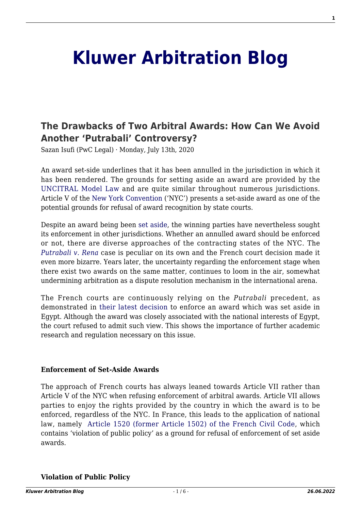# **[Kluwer Arbitration Blog](http://arbitrationblog.kluwerarbitration.com/)**

# **[The Drawbacks of Two Arbitral Awards: How Can We Avoid](http://arbitrationblog.kluwerarbitration.com/2020/07/13/the-drawbacks-of-two-arbitral-awards-how-can-we-avoid-another-putrabali-controversy/) [Another 'Putrabali' Controversy?](http://arbitrationblog.kluwerarbitration.com/2020/07/13/the-drawbacks-of-two-arbitral-awards-how-can-we-avoid-another-putrabali-controversy/)**

Sazan Isufi (PwC Legal) · Monday, July 13th, 2020

An award set-side underlines that it has been annulled in the jurisdiction in which it has been rendered. The grounds for setting aside an award are provided by the [UNCITRAL Model Law](https://uncitral.un.org/sites/uncitral.un.org/files/media-documents/uncitral/en/06-54671_ebook.pdf) and are quite similar throughout numerous jurisdictions. Article V of the [New York Convention](http://www.newyorkconvention.org/english) ('NYC') presents a set-aside award as one of the potential grounds for refusal of award recognition by state courts.

Despite an award being been [set aside,](http://www.kluwerarbitration.com/document/ipn14436?q=Set-Aside%20Awards) the winning parties have nevertheless sought its enforcement in other jurisdictions. Whether an annulled award should be enforced or not, there are diverse approaches of the contracting states of the NYC. The *[Putrabali v. Rena](http://newyorkconvention1958.org/index.php?lvl=notice_display&id=176)* case is peculiar on its own and the French court decision made it even more bizarre. Years later, the uncertainty regarding the enforcement stage when there exist two awards on the same matter, continues to loom in the air, somewhat undermining arbitration as a dispute resolution mechanism in the international arena.

The French courts are continuously relying on the *Putrabali* precedent, as demonstrated in [their latest decision](http://arbitrationblog.kluwerarbitration.com/2020/05/23/recognition-of-annulled-awards-in-france-where-does-the-limit-lie/?doing_wp_cron=1591446523.0117239952087402343750) to enforce an award which was set aside in Egypt. Although the award was closely associated with the national interests of Egypt, the court refused to admit such view. This shows the importance of further academic research and regulation necessary on this issue.

#### **Enforcement of Set-Aside Awards**

The approach of French courts has always leaned towards Article VII rather than Article V of the NYC when refusing enforcement of arbitral awards. Article VII allows parties to enjoy the rights provided by the country in which the award is to be enforced, regardless of the NYC. In France, this leads to the application of national law, namely [Article 1520 \(former Article 1502\) of the French Civil Code,](http://www.iaiparis.com/pdf/FRENCH_LAW_ON_ARBITRATION.pdf) which contains 'violation of public policy' as a ground for refusal of enforcement of set aside awards.

**Violation of Public Policy**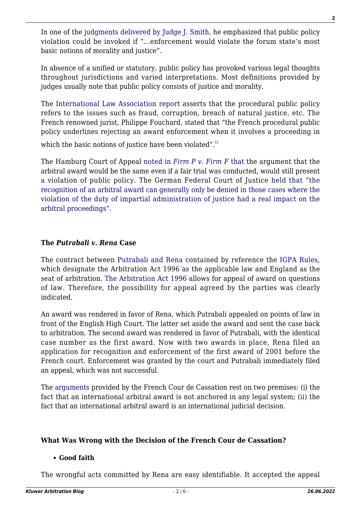In one of the [judgments delivered by Judge J. Smith,](https://casetext.com/case/parsons-wh-ov-v-societe-g-de-l-du-p) he emphasized that public policy violation could be invoked if "…enforcement would violate the forum state's most basic notions of morality and justice".

In absence of a unified or statutory, public policy has provoked various legal thoughts throughout jurisdictions and varied interpretations. Most definitions provided by judges usually note that public policy consists of justice and morality.

The [International Law Association report](http://www.ila-hq.org/images/ILA/docs/FORUMv2i4.pdf) asserts that the procedural public policy refers to the issues such as fraud, corruption, breach of natural justice, etc. The French renowned jurist, Philippe Fouchard, stated that "the French procedural public policy underlines rejecting an award enforcement when it involves a proceeding in

which the basic notions of justice have been violated".<sup>1)</sup>

The Hamburg Court of Appeal [noted in](http://newyorkconvention1958.org/pdf/NYC1958-GuideV1b-20151015.pdf) *[Firm P v. Firm F](http://newyorkconvention1958.org/pdf/NYC1958-GuideV1b-20151015.pdf)* [that](http://newyorkconvention1958.org/pdf/NYC1958-GuideV1b-20151015.pdf) the argument that the arbitral award would be the same even if a fair trial was conducted, would still present a violation of public policy. The German Federal Court of Justice [held that "the](http://newyorkconvention1958.org/index.php?lvl=notice_display&id=220&opac_view=6) [recognition of an arbitral award can generally only be denied in those cases where the](http://newyorkconvention1958.org/index.php?lvl=notice_display&id=220&opac_view=6) [violation of the duty of impartial administration of justice had a real impact on the](http://newyorkconvention1958.org/index.php?lvl=notice_display&id=220&opac_view=6) [arbitral proceedings".](http://newyorkconvention1958.org/index.php?lvl=notice_display&id=220&opac_view=6)

# **The** *Putrabali v. Rena* **Case**

The contract between [Putrabali and Rena](https://www.acerislaw.com/enforcement-of-an-annulled-arbitration-award/) contained by reference the [IGPA Rules](https://www.gafta.com/write/MediaUploads/Contracts/2018/125_2018.pdf), which designate the Arbitration Act 1996 as the applicable law and England as the seat of arbitration. [The Arbitration Act 1996](http://www.legislation.gov.uk/ukpga/1996/23/data.pdf) allows for appeal of award on questions of law. Therefore, the possibility for appeal agreed by the parties was clearly indicated.

An award was rendered in favor of Rena, which Putrabali appealed on points of law in front of the English High Court. The latter set aside the award and sent the case back to arbitration. The second award was rendered in favor of Putrabali, with the identical case number as the first award. Now with two awards in place, Rena filed an application for recognition and enforcement of the first award of 2001 before the French court. Enforcement was granted by the court and Putrabali immediately filed an appeal, which was not successful.

The [arguments](http://newyorkconvention1958.org/index.php?lvl=notice_display&id=176) provided by the French Cour de Cassation rest on two premises: (i) the fact that an international arbitral award is not anchored in any legal system; (ii) the fact that an international arbitral award is an international judicial decision.

# **What Was Wrong with the Decision of the French Cour de Cassation?**

### **Good faith**

The wrongful acts committed by Rena are easy identifiable. It accepted the appeal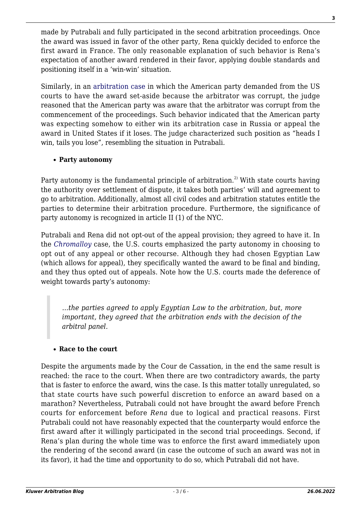made by Putrabali and fully participated in the second arbitration proceedings. Once the award was issued in favor of the other party, Rena quickly decided to enforce the first award in France. The only reasonable explanation of such behavior is Rena's expectation of another award rendered in their favor, applying double standards and positioning itself in a 'win-win' situation.

Similarly, in an [arbitration case](https://caselaw.findlaw.com/us-2nd-circuit/1097564.html) in which the American party demanded from the US courts to have the award set-aside because the arbitrator was corrupt, the judge reasoned that the American party was aware that the arbitrator was corrupt from the commencement of the proceedings. Such behavior indicated that the American party was expecting somehow to either win its arbitration case in Russia or appeal the award in United States if it loses. The judge characterized such position as "heads I win, tails you lose", resembling the situation in Putrabali*.*

# **Party autonomy**

Party autonomy is the fundamental principle of arbitration.<sup>2)</sup> With state courts having the authority over settlement of dispute, it takes both parties' will and agreement to go to arbitration. Additionally, almost all civil codes and arbitration statutes entitle the parties to determine their arbitration procedure. Furthermore, the significance of party autonomy is recognized in article II (1) of the NYC.

Putrabali and Rena did not opt-out of the appeal provision; they agreed to have it. In the *[Chromalloy](https://law.justia.com/cases/federal/district-courts/FSupp/939/907/1511634/)* case, the U.S. courts emphasized the party autonomy in choosing to opt out of any appeal or other recourse. Although they had chosen Egyptian Law (which allows for appeal), they specifically wanted the award to be final and binding, and they thus opted out of appeals. Note how the U.S. courts made the deference of weight towards party's autonomy:

*…the parties agreed to apply Egyptian Law to the arbitration, but, more important, they agreed that the arbitration ends with the decision of the arbitral panel.*

# **Race to the court**

Despite the arguments made by the Cour de Cassation, in the end the same result is reached: the race to the court. When there are two contradictory awards, the party that is faster to enforce the award, wins the case. Is this matter totally unregulated, so that state courts have such powerful discretion to enforce an award based on a marathon? Nevertheless, Putrabali could not have brought the award before French courts for enforcement before *Rena* due to logical and practical reasons. First Putrabali could not have reasonably expected that the counterparty would enforce the first award after it willingly participated in the second trial proceedings. Second, if Rena's plan during the whole time was to enforce the first award immediately upon the rendering of the second award (in case the outcome of such an award was not in its favor), it had the time and opportunity to do so, which Putrabali did not have.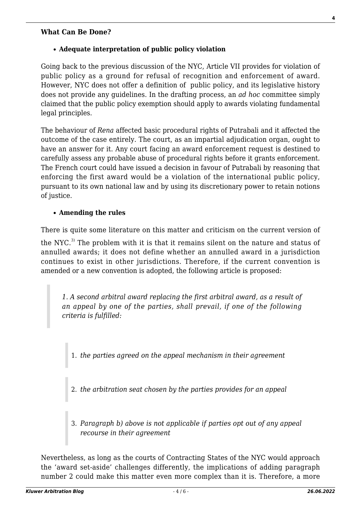#### **What Can Be Done?**

#### **Adequate interpretation of public policy violation**

Going back to the previous discussion of the NYC, Article VII provides for violation of public policy as a ground for refusal of recognition and enforcement of award. However, NYC does not offer a definition of public policy, and its legislative history does not provide any guidelines. In the drafting process, an *ad hoc* committee simply claimed that the public policy exemption should apply to awards violating fundamental legal principles.

The behaviour of *Rena* affected basic procedural rights of Putrabali and it affected the outcome of the case entirely. The court, as an impartial adjudication organ, ought to have an answer for it. Any court facing an award enforcement request is destined to carefully assess any probable abuse of procedural rights before it grants enforcement. The French court could have issued a decision in favour of Putrabali by reasoning that enforcing the first award would be a violation of the international public policy, pursuant to its own national law and by using its discretionary power to retain notions of justice.

#### **Amending the rules**

There is quite some literature on this matter and criticism on the current version of

the NYC.<sup>3)</sup> The problem with it is that it remains silent on the nature and status of annulled awards; it does not define whether an annulled award in a jurisdiction continues to exist in other jurisdictions. Therefore, if the current convention is amended or a new convention is adopted, the following article is proposed:

*1. A second arbitral award replacing the first arbitral award, as a result of an appeal by one of the parties, shall prevail, if one of the following criteria is fulfilled:*

1. *the parties agreed on the appeal mechanism in their agreement*

- 2. *the arbitration seat chosen by the parties provides for an appeal*
- 3. *Paragraph b) above is not applicable if parties opt out of any appeal recourse in their agreement*

Nevertheless, as long as the courts of Contracting States of the NYC would approach the 'award set-aside' challenges differently, the implications of adding paragraph number 2 could make this matter even more complex than it is. Therefore, a more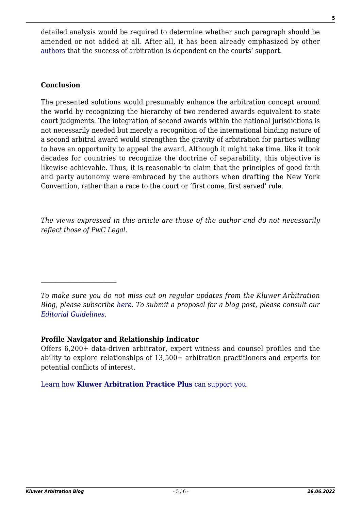detailed analysis would be required to determine whether such paragraph should be amended or not added at all. After all, it has been already emphasized by other [authors](http://arbitrationblog.kluwerarbitration.com/2019/12/15/the-contents-of-b-arbitra-issue-2019-2/?doing_wp_cron=1591446537.4613969326019287109375) that the success of arbitration is dependent on the courts' support.

## **Conclusion**

The presented solutions would presumably enhance the arbitration concept around the world by recognizing the hierarchy of two rendered awards equivalent to state court judgments. The integration of second awards within the national jurisdictions is not necessarily needed but merely a recognition of the international binding nature of a second arbitral award would strengthen the gravity of arbitration for parties willing to have an opportunity to appeal the award. Although it might take time, like it took decades for countries to recognize the doctrine of separability, this objective is likewise achievable. Thus, it is reasonable to claim that the principles of good faith and party autonomy were embraced by the authors when drafting the New York Convention, rather than a race to the court or 'first come, first served' rule.

*The views expressed in this article are those of the author and do not necessarily reflect those of PwC Legal.*

*To make sure you do not miss out on regular updates from the Kluwer Arbitration Blog, please subscribe [here](http://arbitrationblog.kluwerarbitration.com/newsletter/). To submit a proposal for a blog post, please consult our [Editorial Guidelines.](http://arbitrationblog.kluwerarbitration.com/editorial-guidelines/)*

### **Profile Navigator and Relationship Indicator**

 $\mathcal{L}_\text{max}$ 

Offers 6,200+ data-driven arbitrator, expert witness and counsel profiles and the ability to explore relationships of 13,500+ arbitration practitioners and experts for potential conflicts of interest.

[Learn how](https://www.wolterskluwer.com/en/solutions/kluwerarbitration/practiceplus?utm_source=arbitrationblog&utm_medium=articleCTA&utm_campaign=article-banner) **[Kluwer Arbitration Practice Plus](https://www.wolterskluwer.com/en/solutions/kluwerarbitration/practiceplus?utm_source=arbitrationblog&utm_medium=articleCTA&utm_campaign=article-banner)** [can support you.](https://www.wolterskluwer.com/en/solutions/kluwerarbitration/practiceplus?utm_source=arbitrationblog&utm_medium=articleCTA&utm_campaign=article-banner)